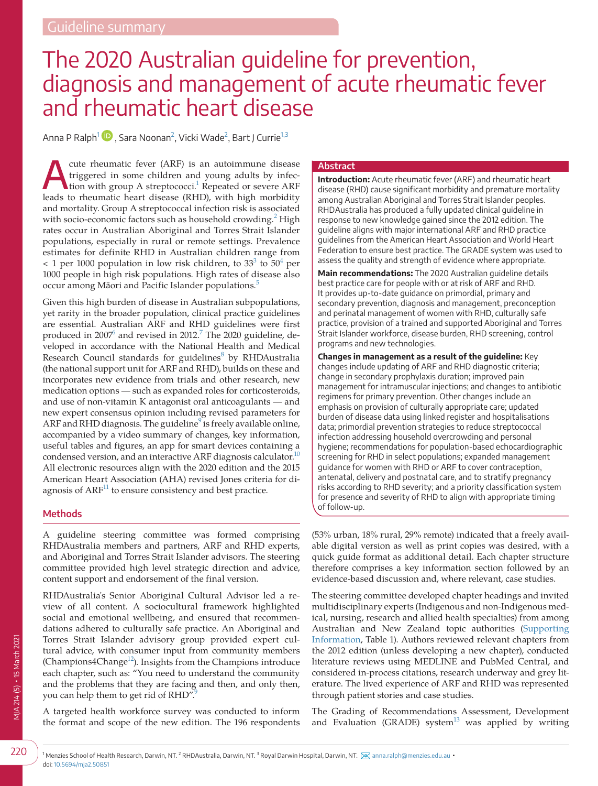# The 2020 Australian guideline for prevention, diagnosis and management of acute rheumatic fever and rheumatic heart disease

Anna P Ralph<sup>[1](#page-0-0) (</sup>•• , Sara Noonan<sup>[2](#page-0-1)</sup>, Vicki Wade<sup>2</sup>, Bart J Currie<sup>[1,3](#page-0-0)</sup>

The cute rheumatic fever (ARF) is an autoimmune disease triggered in some children and young adults by infection with group A streptococci.<sup>1</sup> Repeated or severe ARF triggered in some children and young adults by infecleads to rheumatic heart disease (RHD), with high morbidity and mortality. Group A streptococcal infection risk is associated with socio-economic factors such as household crowding.<sup>[2](#page-6-1)</sup> High rates occur in Australian Aboriginal and Torres Strait Islander populations, especially in rural or remote settings. Prevalence estimates for definite RHD in Australian children range from < 1 per 1000 population in low risk children, to  $33<sup>3</sup>$  $33<sup>3</sup>$  to  $50<sup>4</sup>$  $50<sup>4</sup>$  $50<sup>4</sup>$  per 1000 people in high risk populations. High rates of disease also occur among Māori and Pacific Islander populations.<sup>[5](#page-6-4)</sup>

Given this high burden of disease in Australian subpopulations, yet rarity in the broader population, clinical practice guidelines are essential. Australian ARF and RHD guidelines were first produced in 200[7](#page-6-6)<sup>6</sup> and revised in 2012.<sup>7</sup> The 2020 guideline, developed in accordance with the National Health and Medical Research Council standards for guidelines<sup>[8](#page-6-7)</sup> by RHDAustralia (the national support unit for ARF and RHD), builds on these and incorporates new evidence from trials and other research, new medication options — such as expanded roles for corticosteroids, and use of non-vitamin K antagonist oral anticoagulants — and new expert consensus opinion including revised parameters for ARF and RHD diagnosis. The guideline<sup>[9](#page-6-8)</sup> is freely available online, accompanied by a video summary of changes, key information, useful tables and figures, an app for smart devices containing a condensed version, and an interactive ARF diagnosis calculator. $10$ All electronic resources align with the 2020 edition and the 2015 American Heart Association (AHA) revised Jones criteria for diagnosis of  $ARF<sup>11</sup>$  to ensure consistency and best practice.

## **Methods**

A guideline steering committee was formed comprising RHDAustralia members and partners, ARF and RHD experts, and Aboriginal and Torres Strait Islander advisors. The steering committee provided high level strategic direction and advice, content support and endorsement of the final version.

RHDAustralia's Senior Aboriginal Cultural Advisor led a review of all content. A sociocultural framework highlighted social and emotional wellbeing, and ensured that recommendations adhered to culturally safe practice. An Aboriginal and Torres Strait Islander advisory group provided expert cultural advice, with consumer input from community members (Champions4Change<sup>12</sup>). Insights from the Champions introduce each chapter, such as: "You need to understand the community and the problems that they are facing and then, and only then, you can help them to get rid of RHD".<sup>9</sup>

<span id="page-0-1"></span><span id="page-0-0"></span>A targeted health workforce survey was conducted to inform the format and scope of the new edition. The 196 respondents

#### **Abstract**

**Introduction:** Acute rheumatic fever (ARF) and rheumatic heart disease (RHD) cause significant morbidity and premature mortality among Australian Aboriginal and Torres Strait Islander peoples. RHDAustralia has produced a fully updated clinical guideline in response to new knowledge gained since the 2012 edition. The guideline aligns with major international ARF and RHD practice guidelines from the American Heart Association and World Heart Federation to ensure best practice. The GRADE system was used to assess the quality and strength of evidence where appropriate.

**Main recommendations:** The 2020 Australian guideline details best practice care for people with or at risk of ARF and RHD. It provides up-to-date guidance on primordial, primary and secondary prevention, diagnosis and management, preconception and perinatal management of women with RHD, culturally safe practice, provision of a trained and supported Aboriginal and Torres Strait Islander workforce, disease burden, RHD screening, control programs and new technologies.

**Changes in management as a result of the guideline:** Key changes include updating of ARF and RHD diagnostic criteria; change in secondary prophylaxis duration; improved pain management for intramuscular injections; and changes to antibiotic regimens for primary prevention. Other changes include an emphasis on provision of culturally appropriate care; updated burden of disease data using linked register and hospitalisations data; primordial prevention strategies to reduce streptococcal infection addressing household overcrowding and personal hygiene; recommendations for population-based echocardiographic screening for RHD in select populations; expanded management guidance for women with RHD or ARF to cover contraception, antenatal, delivery and postnatal care, and to stratify pregnancy risks according to RHD severity; and a priority classification system for presence and severity of RHD to align with appropriate timing of follow-up.

(53% urban, 18% rural, 29% remote) indicated that a freely available digital version as well as print copies was desired, with a quick guide format as additional detail. Each chapter structure therefore comprises a key information section followed by an evidence-based discussion and, where relevant, case studies.

The steering committee developed chapter headings and invited multidisciplinary experts (Indigenous and non-Indigenous medical, nursing, research and allied health specialties) from among Australian and New Zealand topic authorities [\(Supporting](#page-7-0)  [Information](#page-7-0), Table 1). Authors reviewed relevant chapters from the 2012 edition (unless developing a new chapter), conducted literature reviews using MEDLINE and PubMed Central, and considered in-process citations, research underway and grey literature. The lived experience of ARF and RHD was represented through patient stories and case studies.

The Grading of Recommendations Assessment, Development and Evaluation (GRADE) system $^{13}$  was applied by writing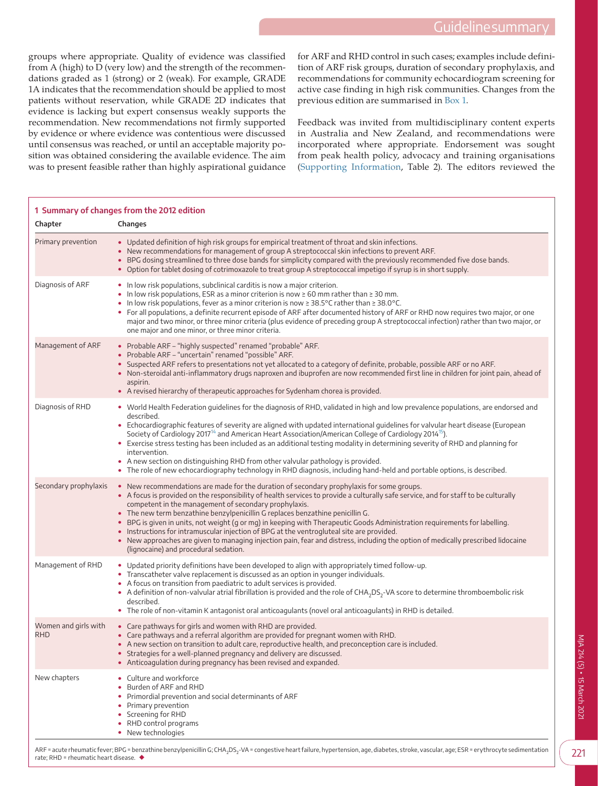groups where appropriate. Quality of evidence was classified from A (high) to D (very low) and the strength of the recommendations graded as 1 (strong) or 2 (weak). For example, GRADE 1A indicates that the recommendation should be applied to most patients without reservation, while GRADE 2D indicates that evidence is lacking but expert consensus weakly supports the recommendation. New recommendations not firmly supported by evidence or where evidence was contentious were discussed until consensus was reached, or until an acceptable majority position was obtained considering the available evidence. The aim was to present feasible rather than highly aspirational guidance for ARF and RHD control in such cases; examples include definition of ARF risk groups, duration of secondary prophylaxis, and recommendations for community echocardiogram screening for active case finding in high risk communities. Changes from the previous edition are summarised in [Box 1](#page-1-0).

Feedback was invited from multidisciplinary content experts in Australia and New Zealand, and recommendations were incorporated where appropriate. Endorsement was sought from peak health policy, advocacy and training organisations [\(Supporting Information](#page-7-0), Table 2). The editors reviewed the

<span id="page-1-0"></span>

| Chapter                            | 1 Summary of changes from the 2012 edition<br>Changes                                                                                                                                                                                                                                                                                                                                                                                                                                                                                                                                                                                                                                                                                                                               |  |  |  |  |
|------------------------------------|-------------------------------------------------------------------------------------------------------------------------------------------------------------------------------------------------------------------------------------------------------------------------------------------------------------------------------------------------------------------------------------------------------------------------------------------------------------------------------------------------------------------------------------------------------------------------------------------------------------------------------------------------------------------------------------------------------------------------------------------------------------------------------------|--|--|--|--|
| Primary prevention                 | • Updated definition of high risk groups for empirical treatment of throat and skin infections.<br>. New recommendations for management of group A streptococcal skin infections to prevent ARF.<br>• BPG dosing streamlined to three dose bands for simplicity compared with the previously recommended five dose bands.<br>• Option for tablet dosing of cotrimoxazole to treat group A streptococcal impetigo if syrup is in short supply.                                                                                                                                                                                                                                                                                                                                       |  |  |  |  |
| Diagnosis of ARF                   | • In low risk populations, subclinical carditis is now a major criterion.<br>• In low risk populations, ESR as a minor criterion is now $\geq 60$ mm rather than $\geq 30$ mm.<br>In low risk populations, fever as a minor criterion is now $\geq 38.5^{\circ}$ C rather than $\geq 38.0^{\circ}$ C.<br>• For all populations, a definite recurrent episode of ARF after documented history of ARF or RHD now requires two major, or one<br>major and two minor, or three minor criteria (plus evidence of preceding group A streptococcal infection) rather than two major, or<br>one major and one minor, or three minor criteria.                                                                                                                                               |  |  |  |  |
| Management of ARF                  | • Probable ARF - "highly suspected" renamed "probable" ARF.<br>· Probable ARF - "uncertain" renamed "possible" ARF.<br>• Suspected ARF refers to presentations not yet allocated to a category of definite, probable, possible ARF or no ARF.<br>• Non-steroidal anti-inflammatory drugs naproxen and ibuprofen are now recommended first line in children for joint pain, ahead of<br>aspirin.<br>• A revised hierarchy of therapeutic approaches for Sydenham chorea is provided.                                                                                                                                                                                                                                                                                                 |  |  |  |  |
| Diagnosis of RHD                   | • World Health Federation guidelines for the diagnosis of RHD, validated in high and low prevalence populations, are endorsed and<br>described.<br>• Echocardiographic features of severity are aligned with updated international guidelines for valvular heart disease (European<br>Society of Cardiology 2017 <sup>14</sup> and American Heart Association/American College of Cardiology 2014 <sup>15</sup> ).<br>• Exercise stress testing has been included as an additional testing modality in determining severity of RHD and planning for<br>intervention.<br>• A new section on distinguishing RHD from other valvular pathology is provided.<br>• The role of new echocardiography technology in RHD diagnosis, including hand-held and portable options, is described. |  |  |  |  |
| Secondary prophylaxis              | • New recommendations are made for the duration of secondary prophylaxis for some groups.<br>• A focus is provided on the responsibility of health services to provide a culturally safe service, and for staff to be culturally<br>competent in the management of secondary prophylaxis.<br>• The new term benzathine benzylpenicillin G replaces benzathine penicillin G.<br>• BPG is given in units, not weight (g or mg) in keeping with Therapeutic Goods Administration requirements for labelling.<br>• Instructions for intramuscular injection of BPG at the ventrogluteal site are provided.<br>• New approaches are given to managing injection pain, fear and distress, including the option of medically prescribed lidocaine<br>(lignocaine) and procedural sedation. |  |  |  |  |
| Management of RHD                  | • Updated priority definitions have been developed to align with appropriately timed follow-up.<br>• Transcatheter valve replacement is discussed as an option in younger individuals.<br>• A focus on transition from paediatric to adult services is provided.<br>• A definition of non-valvular atrial fibrillation is provided and the role of CHA <sub>2</sub> DS <sub>2</sub> -VA score to determine thromboembolic risk<br>described.<br>• The role of non-vitamin K antagonist oral anticoagulants (novel oral anticoagulants) in RHD is detailed.                                                                                                                                                                                                                          |  |  |  |  |
| Women and girls with<br><b>RHD</b> | • Care pathways for girls and women with RHD are provided.<br>• Care pathways and a referral algorithm are provided for pregnant women with RHD.<br>• A new section on transition to adult care, reproductive health, and preconception care is included.<br>• Strategies for a well-planned pregnancy and delivery are discussed.<br>• Anticoagulation during pregnancy has been revised and expanded.                                                                                                                                                                                                                                                                                                                                                                             |  |  |  |  |
| New chapters                       | • Culture and workforce<br>Burden of ARF and RHD<br>Primordial prevention and social determinants of ARF<br>Primary prevention<br>• Screening for RHD<br>RHD control programs<br>• New technologies                                                                                                                                                                                                                                                                                                                                                                                                                                                                                                                                                                                 |  |  |  |  |

221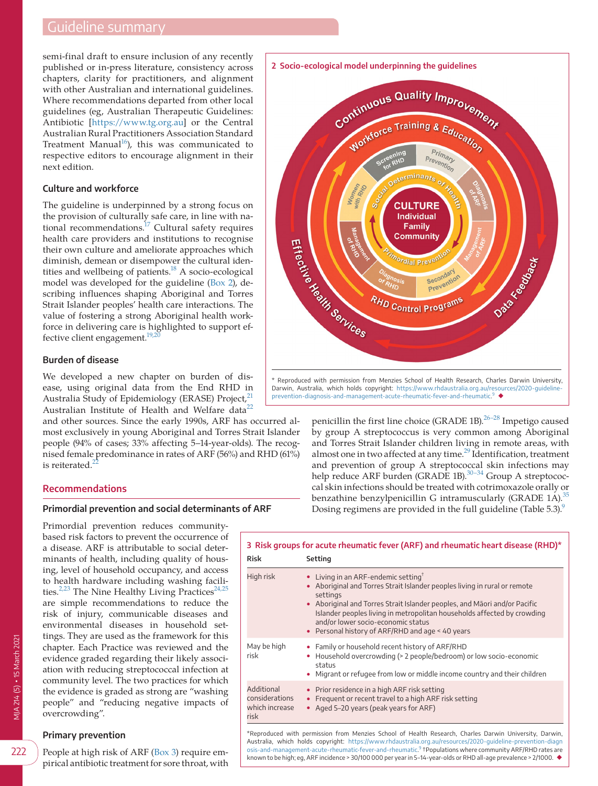# Guideline summary

semi-final draft to ensure inclusion of any recently published or in-press literature, consistency across chapters, clarity for practitioners, and alignment with other Australian and international guidelines. Where recommendations departed from other local guidelines (eg, Australian Therapeutic Guidelines: Antibiotic [[https://www.tg.org.au\]](https://www.tg.org.au) or the Central Australian Rural Practitioners Association Standard Treatment Manual<sup>16</sup>), this was communicated to respective editors to encourage alignment in their next edition.

#### **Culture and workforce**

The guideline is underpinned by a strong focus on the provision of culturally safe care, in line with national recommendations.<sup>17</sup> Cultural safety requires health care providers and institutions to recognise their own culture and ameliorate approaches which diminish, demean or disempower the cultural identities and wellbeing of patients. $^{18}$  A socio-ecological model was developed for the guideline [\(Box 2\)](#page-2-0), describing influences shaping Aboriginal and Torres Strait Islander peoples' health care interactions. The value of fostering a strong Aboriginal health workforce in delivering care is highlighted to support effective client engagement.<sup>19,20</sup>

#### **Burden of disease**

We developed a new chapter on burden of disease, using original data from the End RHD in Australia Study of Epidemiology (ERASE) Project,<sup>[21](#page-6-19)</sup> Australian Institute of Health and Welfare data<sup>[22](#page-6-20)</sup>

and other sources. Since the early 1990s, ARF has occurred almost exclusively in young Aboriginal and Torres Strait Islander people (94% of cases; 33% affecting 5–14-year-olds). The recognised female predominance in rates of ARF (56%) and RHD (61%) is reiterated. $^{2}$ 

#### **Recommendations**

#### **Primordial prevention and social determinants of ARF**

Primordial prevention reduces communitybased risk factors to prevent the occurrence of a disease. ARF is attributable to social determinants of health, including quality of housing, level of household occupancy, and access to health hardware including washing facilities.<sup>2,23</sup> The Nine Healthy Living Practices<sup>24,25</sup> are simple recommendations to reduce the risk of injury, communicable diseases and environmental diseases in household settings. They are used as the framework for this chapter. Each Practice was reviewed and the evidence graded regarding their likely association with reducing streptococcal infection at community level. The two practices for which the evidence is graded as strong are "washing people" and "reducing negative impacts of overcrowding".

#### **Primary prevention**

People at high risk of ARF ([Box 3](#page-2-1)) require empirical antibiotic treatment for sore throat, with

<span id="page-2-0"></span>

[prevention-diagnosis-and-management-acute-rheumatic-fever-and-rheumatic.](https://www.rhdaustralia.org.au/resources/2020-guideline-prevention-diagnosis-and-management-acute-rheumatic-fever-and-rheumatic)<sup>9</sup> ◆

penicillin the first line choice (GRADE 1B). $^{26-28}$  Impetigo caused by group A streptococcus is very common among Aboriginal and Torres Strait Islander children living in remote areas, with almost one in two affected at any time.<sup>29</sup> Identification, treatment and prevention of group A streptococcal skin infections may help reduce ARF burden (GRADE 1B).<sup>30-34</sup> Group A streptococcal skin infections should be treated with cotrimoxazole orally or benzathine benzylpenicillin G intramuscularly (GRADE 1A).<sup>3</sup> Dosing regimens are provided in the full guideline (Table 5.3).<sup>[9](#page-6-8)</sup>

<span id="page-2-1"></span>

| <b>Risk</b>                                            | Setting                                                                                                                                                                                                                                                                                                                                                                                      |
|--------------------------------------------------------|----------------------------------------------------------------------------------------------------------------------------------------------------------------------------------------------------------------------------------------------------------------------------------------------------------------------------------------------------------------------------------------------|
| High risk                                              | • Living in an ARF-endemic setting <sup>†</sup><br>• Aboriginal and Torres Strait Islander peoples living in rural or remote<br>settings<br>• Aboriginal and Torres Strait Islander peoples, and Maori and/or Pacific<br>Islander peoples living in metropolitan households affected by crowding<br>and/or lower socio-economic status<br>• Personal history of ARF/RHD and age $<$ 40 years |
| May be high<br>risk                                    | • Family or household recent history of ARF/RHD<br>• Household overcrowding (> 2 people/bedroom) or low socio-economic<br>status<br>• Migrant or refugee from low or middle income country and their children                                                                                                                                                                                |
| Additional<br>considerations<br>which increase<br>risk | • Prior residence in a high ARF risk setting<br>• Frequent or recent travel to a high ARF risk setting<br>• Aged 5-20 years (peak years for ARF)                                                                                                                                                                                                                                             |

\*Reproduced with permission from Menzies School of Health Research, Charles Darwin University, Darwin, Australia, which holds copyright: [https://www.rhdaustralia.org.au/resources/2020-guideline-prevention-diagn](https://www.rhdaustralia.org.au/resources/2020-guideline-prevention-diagnosis-and-management-acute-rheumatic-fever-and-rheumatic) [osis-and-management-acute-rheumatic-fever-and-rheumatic.](https://www.rhdaustralia.org.au/resources/2020-guideline-prevention-diagnosis-and-management-acute-rheumatic-fever-and-rheumatic)<sup>[9](#page-6-8)</sup> †Populations where community ARF/RHD rates are known to be high; eg, ARF incidence > 30/100 000 per year in 5–14-year-olds or RHD all-age prevalence > 2/1000. ◆

222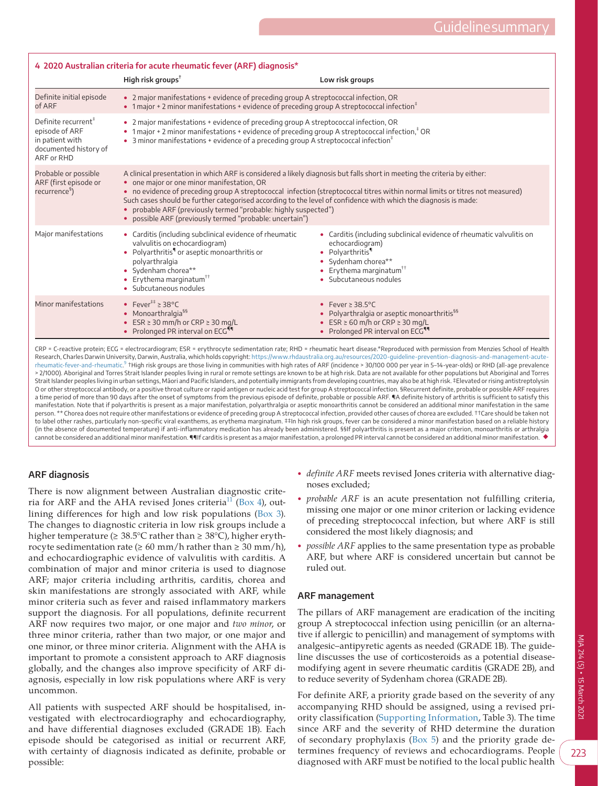<span id="page-3-0"></span>

|                                                                                                             | High risk groups <sup>†</sup>                                                                                                                                                                                                                                                                                                                                                                                                                                                                                                                             | Low risk groups                                                                                                                                                                                  |  |  |  |
|-------------------------------------------------------------------------------------------------------------|-----------------------------------------------------------------------------------------------------------------------------------------------------------------------------------------------------------------------------------------------------------------------------------------------------------------------------------------------------------------------------------------------------------------------------------------------------------------------------------------------------------------------------------------------------------|--------------------------------------------------------------------------------------------------------------------------------------------------------------------------------------------------|--|--|--|
| Definite initial episode<br>of ARF                                                                          | • 2 major manifestations + evidence of preceding group A streptococcal infection, OR<br>• 1 major + 2 minor manifestations + evidence of preceding group A streptococcal infection <sup>+</sup>                                                                                                                                                                                                                                                                                                                                                           |                                                                                                                                                                                                  |  |  |  |
| Definite recurrent <sup>#</sup><br>episode of ARF<br>in patient with<br>documented history of<br>ARF or RHD | • 2 major manifestations + evidence of preceding group A streptococcal infection, OR<br>• 1 major + 2 minor manifestations + evidence of preceding group A streptococcal infection, <sup>†</sup> OR<br>• 3 minor manifestations + evidence of a preceding group A streptococcal infection <sup><math>\dagger</math></sup>                                                                                                                                                                                                                                 |                                                                                                                                                                                                  |  |  |  |
| Probable or possible<br>ARF (first episode or<br>recurrence <sup>§</sup> )                                  | A clinical presentation in which ARF is considered a likely diagnosis but falls short in meeting the criteria by either:<br>• one major or one minor manifestation, OR<br>• no evidence of preceding group A streptococcal infection (streptococcal titres within normal limits or titres not measured)<br>Such cases should be further categorised according to the level of confidence with which the diagnosis is made:<br>• probable ARF (previously termed "probable: highly suspected")<br>· possible ARF (previously termed "probable: uncertain") |                                                                                                                                                                                                  |  |  |  |
| Major manifestations                                                                                        | • Carditis (including subclinical evidence of rheumatic<br>valvulitis on echocardiogram)<br>• Polyarthritis <sup>4</sup> or aseptic monoarthritis or<br>polyarthralgia<br>• Sydenham chorea**<br>Erythema marginatum <sup>††</sup><br>Subcutaneous nodules                                                                                                                                                                                                                                                                                                | • Carditis (including subclinical evidence of rheumatic valvulitis on<br>echocardiogram)<br>Polyarthritis<br>٠<br>Sydenham chorea**<br>Erythema marginatum <sup>††</sup><br>Subcutaneous nodules |  |  |  |
| Minor manifestations                                                                                        | • Fever <sup>##</sup> $\geq$ 38°C<br>• Monoarthralgia <sup>§§</sup><br>• ESR $\geq$ 30 mm/h or CRP $\geq$ 30 mg/L<br>• Prolonged PR interval on ECG <sup>11</sup>                                                                                                                                                                                                                                                                                                                                                                                         | • Fever $\geq$ 38.5°C<br>Polyarthralgia or aseptic monoarthritis <sup>55</sup><br>$\bullet$<br>ESR $\geq$ 60 m/h or CRP $\geq$ 30 mg/L<br>• Prolonged PR interval on ECG <sup>99</sup>           |  |  |  |

Research, Charles Darwin University, Darwin, Australia, which holds copyright: [https://www.rhdaustralia.org.au/resources/2020-guideline-prevention-diagnosis-and-management-acute](https://www.rhdaustralia.org.au/resources/2020-guideline-prevention-diagnosis-and-management-acute-rheumatic-fever-and-rheumatic)[rheumatic-fever-and-rheumatic](https://www.rhdaustralia.org.au/resources/2020-guideline-prevention-diagnosis-and-management-acute-rheumatic-fever-and-rheumatic).<sup>[9](#page-6-8)</sup> †High risk groups are those living in communities with high rates of ARF (incidence > 30/100 000 per year in 5–14-year-olds) or RHD (all-age prevalence > 2/1000). Aboriginal and Torres Strait Islander peoples living in rural or remote settings are known to be at high risk. Data are not available for other populations but Aboriginal and Torres Strait Islander peoples living in urban settings, Māori and Pacific Islanders, and potentially immigrants from developing countries, may also be at high risk. ‡Elevated or rising antistreptolysin O or other streptococcal antibody, or a positive throat culture or rapid antigen or nucleic acid test for group A streptococcal infection. §Recurrent definite, probable or possible ARF requires a time period of more than 90 days after the onset of symptoms from the previous episode of definite, probable or possible ARF. IA definite history of arthritis is sufficient to satisfy this manifestation. Note that if polyarthritis is present as a major manifestation, polyarthralgia or aseptic monoarthritis cannot be considered an additional minor manifestation in the same person. \*\* Chorea does not require other manifestations or evidence of preceding group A streptococcal infection, provided other causes of chorea are excluded. ††Care should be taken not to label other rashes, particularly non-specific viral exanthems, as erythema marginatum. ‡‡In high risk groups, fever can be considered a minor manifestation based on a reliable history (in the absence of documented temperature) if anti-inflammatory medication has already been administered. §§If polyarthritis is present as a major criterion, monoarthritis or arthralgia cannot be considered an additional minor manifestation. ¶¶If carditis is present as a major manifestation, a prolonged PR interval cannot be considered an additional minor manifestation. ◆

## **ARF diagnosis**

There is now alignment between Australian diagnostic crite-ria for ARF and the AHA revised Jones criteria<sup>11</sup> ([Box 4](#page-3-0)), outlining differences for high and low risk populations ([Box 3\)](#page-2-1). The changes to diagnostic criteria in low risk groups include a higher temperature ( $\geq 38.5^{\circ}$ C rather than  $\geq 38^{\circ}$ C), higher erythrocyte sedimentation rate ( $\geq 60$  mm/h rather than  $\geq 30$  mm/h), and echocardiographic evidence of valvulitis with carditis. A combination of major and minor criteria is used to diagnose ARF; major criteria including arthritis, carditis, chorea and skin manifestations are strongly associated with ARF, while minor criteria such as fever and raised inflammatory markers support the diagnosis. For all populations, definite recurrent ARF now requires two major, or one major and *two minor*, or three minor criteria, rather than two major, or one major and one minor, or three minor criteria. Alignment with the AHA is important to promote a consistent approach to ARF diagnosis globally, and the changes also improve specificity of ARF diagnosis, especially in low risk populations where ARF is very uncommon.

All patients with suspected ARF should be hospitalised, investigated with electrocardiography and echocardiography, and have differential diagnoses excluded (GRADE 1B). Each episode should be categorised as initial or recurrent ARF, with certainty of diagnosis indicated as definite, probable or possible:

- *definite ARF* meets revised Jones criteria with alternative diagnoses excluded;
- *probable ARF* is an acute presentation not fulfilling criteria, missing one major or one minor criterion or lacking evidence of preceding streptococcal infection, but where ARF is still considered the most likely diagnosis; and
- *possible ARF* applies to the same presentation type as probable ARF, but where ARF is considered uncertain but cannot be ruled out.

#### **ARF management**

The pillars of ARF management are eradication of the inciting group A streptococcal infection using penicillin (or an alternative if allergic to penicillin) and management of symptoms with analgesic–antipyretic agents as needed (GRADE 1B). The guideline discusses the use of corticosteroids as a potential diseasemodifying agent in severe rheumatic carditis (GRADE 2B), and to reduce severity of Sydenham chorea (GRADE 2B).

For definite ARF, a priority grade based on the severity of any accompanying RHD should be assigned, using a revised priority classification [\(Supporting Information](#page-7-0), Table 3). The time since ARF and the severity of RHD determine the duration of secondary prophylaxis ([Box 5](#page-4-0)) and the priority grade determines frequency of reviews and echocardiograms. People diagnosed with ARF must be notified to the local public health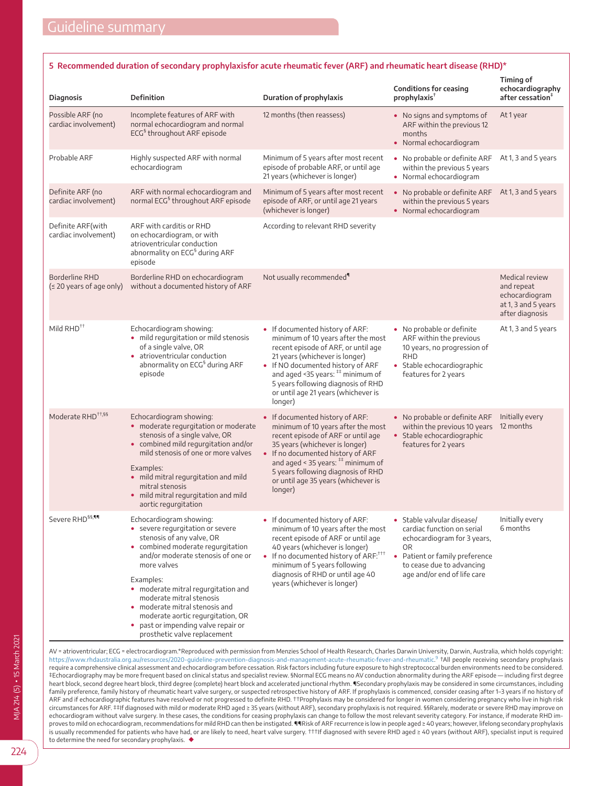| <b>Diagnosis</b>                                        | <b>Definition</b>                                                                                                                                                                                                                                                                                                                                                                                                           | <b>Duration of prophylaxis</b>                                                                                                                                                                                                                                                                                     | <b>Conditions for ceasing</b><br>prophylaxis <sup>T</sup>                                                                                                                                   | Timing of<br>echocardiography<br>after cessation <sup>+</sup>                            |
|---------------------------------------------------------|-----------------------------------------------------------------------------------------------------------------------------------------------------------------------------------------------------------------------------------------------------------------------------------------------------------------------------------------------------------------------------------------------------------------------------|--------------------------------------------------------------------------------------------------------------------------------------------------------------------------------------------------------------------------------------------------------------------------------------------------------------------|---------------------------------------------------------------------------------------------------------------------------------------------------------------------------------------------|------------------------------------------------------------------------------------------|
| Possible ARF (no<br>cardiac involvement)                | Incomplete features of ARF with<br>normal echocardiogram and normal<br>ECG <sup>5</sup> throughout ARF episode                                                                                                                                                                                                                                                                                                              | 12 months (then reassess)                                                                                                                                                                                                                                                                                          | • No signs and symptoms of<br>ARF within the previous 12<br>months<br>• Normal echocardiogram                                                                                               | At 1 year                                                                                |
| Probable ARF                                            | Highly suspected ARF with normal<br>echocardiogram                                                                                                                                                                                                                                                                                                                                                                          | Minimum of 5 years after most recent<br>episode of probable ARF, or until age<br>21 years (whichever is longer)                                                                                                                                                                                                    | • No probable or definite ARF<br>within the previous 5 years<br>• Normal echocardiogram                                                                                                     | At 1, 3 and 5 years                                                                      |
| Definite ARF (no<br>cardiac involvement)                | ARF with normal echocardiogram and<br>normal ECG <sup>§</sup> throughout ARF episode                                                                                                                                                                                                                                                                                                                                        | Minimum of 5 years after most recent<br>episode of ARF, or until age 21 years<br>(whichever is longer)                                                                                                                                                                                                             | • No probable or definite ARF<br>within the previous 5 years<br>• Normal echocardiogram                                                                                                     | At 1, 3 and 5 years                                                                      |
| Definite ARF(with<br>cardiac involvement)               | ARF with carditis or RHD<br>on echocardiogram, or with<br>atrioventricular conduction<br>abnormality on ECG <sup>5</sup> during ARF<br>episode                                                                                                                                                                                                                                                                              | According to relevant RHD severity                                                                                                                                                                                                                                                                                 |                                                                                                                                                                                             |                                                                                          |
| <b>Borderline RHD</b><br>$( \leq 20$ years of age only) | Borderline RHD on echocardiogram<br>without a documented history of ARF                                                                                                                                                                                                                                                                                                                                                     | Not usually recommended <sup>1</sup>                                                                                                                                                                                                                                                                               |                                                                                                                                                                                             | Medical review<br>and repeat<br>echocardiogram<br>at 1, 3 and 5 years<br>after diagnosis |
| Mild $RHD^{++}$                                         | Echocardiogram showing:<br>mild regurgitation or mild stenosis<br>$\bullet$<br>of a single valve, OR<br>atrioventricular conduction<br>$\bullet$<br>abnormality on ECG <sup>5</sup> during ARF<br>episode                                                                                                                                                                                                                   | • If documented history of ARF:<br>minimum of 10 years after the most<br>recent episode of ARF, or until age<br>21 years (whichever is longer)<br>• If NO documented history of ARF<br>and aged <35 years: ## minimum of<br>5 years following diagnosis of RHD<br>or until age 21 years (whichever is<br>longer)   | • No probable or definite<br>ARF within the previous<br>10 years, no progression of<br><b>RHD</b><br>· Stable echocardiographic<br>features for 2 years                                     | At 1, 3 and 5 years                                                                      |
| Moderate RHD <sup>++,§§</sup>                           | Echocardiogram showing:<br>• moderate regurgitation or moderate<br>stenosis of a single valve, OR<br>• combined mild regurgitation and/or<br>mild stenosis of one or more valves<br>Examples:<br>· mild mitral regurgitation and mild<br>mitral stenosis<br>. mild mitral regurgitation and mild<br>aortic regurgitation                                                                                                    | • If documented history of ARF:<br>minimum of 10 years after the most<br>recent episode of ARF or until age<br>35 years (whichever is longer)<br>• If no documented history of ARF<br>and aged < 35 years: $**$ minimum of<br>5 years following diagnosis of RHD<br>or until age 35 years (whichever is<br>longer) | • No probable or definite ARF<br>within the previous 10 years<br>• Stable echocardiographic<br>features for 2 years                                                                         | Initially every<br>12 months                                                             |
| Severe RHD <sup>§§,44</sup>                             | Echocardiogram showing:<br>• severe regurgitation or severe<br>stenosis of any valve, OR<br>• combined moderate regurgitation<br>and/or moderate stenosis of one or<br>more valves<br>Examples:<br>• moderate mitral regurgitation and<br>moderate mitral stenosis<br>• moderate mitral stenosis and<br>moderate aortic regurgitation, OR<br>past or impending valve repair or<br>$\bullet$<br>prosthetic valve replacement | • If documented history of ARF:<br>minimum of 10 years after the most<br>recent episode of ARF or until age<br>40 years (whichever is longer)<br>• If no documented history of ARF. <sup>†††</sup><br>minimum of 5 years following<br>diagnosis of RHD or until age 40<br>years (whichever is longer)              | • Stable valvular disease/<br>cardiac function on serial<br>echocardiogram for 3 years,<br>0R<br>• Patient or family preference<br>to cease due to advancing<br>age and/or end of life care | Initially every<br>6 months                                                              |

#### <span id="page-4-0"></span>**5 Recommended duration of secondary prophylaxisfor acute rheumatic fever (ARF) and rheumatic heart disease (RHD)\***

AV = atrioventricular; ECG = electrocardiogram.\*Reproduced with permission from Menzies School of Health Research, Charles Darwin University, Darwin, Australia, which holds copyright: <https://www.rhdaustralia.org.au/resources/2020-guideline-prevention-diagnosis-and-management-acute-rheumatic-fever-and-rheumatic>. [9](#page-6-8) †All people receiving secondary prophylaxis require a comprehensive clinical assessment and echocardiogram before cessation. Risk factors including future exposure to high streptococcal burden environments need to be considered. ‡Echocardiography may be more frequent based on clinical status and specialist review. §Normal ECG means no AV conduction abnormality during the ARF episode — including first degree heart block, second degree heart block, third degree (complete) heart block and accelerated junctional rhythm. ¶Secondary prophylaxis may be considered in some circumstances, including family preference, family history of rheumatic heart valve surgery, or suspected retrospective history of ARF. If prophylaxis is commenced, consider ceasing after 1–3 years if no history of ARF and if echocardiographic features have resolved or not progressed to definite RHD. ††Prophylaxis may be considered for longer in women considering pregnancy who live in high risk circumstances for ARF. ‡‡If diagnosed with mild or moderate RHD aged ≥ 35 years (without ARF), secondary prophylaxis is not required. §§Rarely, moderate or severe RHD may improve on echocardiogram without valve surgery. In these cases, the conditions for ceasing prophylaxis can change to follow the most relevant severity category. For instance, if moderate RHD improves to mild on echocardiogram, recommendations for mild RHD can then be instigated. ¶¶Risk of ARF recurrence is low in people aged ≥ 40 years; however, lifelong secondary prophylaxis is usually recommended for patients who have had, or are likely to need, heart valve surgery. †††If diagnosed with severe RHD aged ≥ 40 years (without ARF), specialist input is required to determine the need for secondary prophylaxis. ◆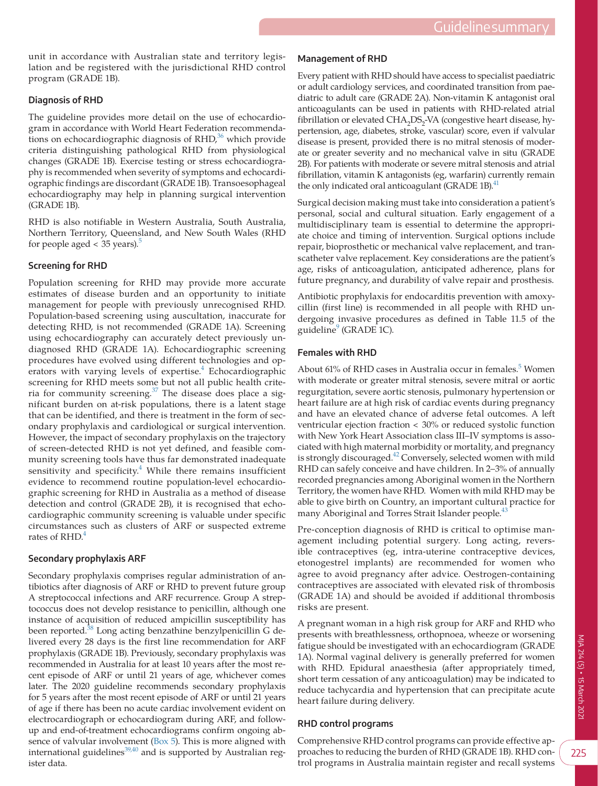unit in accordance with Australian state and territory legislation and be registered with the jurisdictional RHD control program (GRADE 1B).

# **Diagnosis of RHD**

The guideline provides more detail on the use of echocardiogram in accordance with World Heart Federation recommendations on echocardiographic diagnosis of  $RHD<sup>36</sup>$  which provide criteria distinguishing pathological RHD from physiological changes (GRADE 1B). Exercise testing or stress echocardiography is recommended when severity of symptoms and echocardiographic findings are discordant (GRADE 1B). Transoesophageal echocardiography may help in planning surgical intervention (GRADE 1B).

RHD is also notifiable in Western Australia, South Australia, Northern Territory, Queensland, and New South Wales (RHD for people aged <  $35$  $35$  years).<sup>5</sup>

# **Screening for RHD**

Population screening for RHD may provide more accurate estimates of disease burden and an opportunity to initiate management for people with previously unrecognised RHD. Population-based screening using auscultation, inaccurate for detecting RHD, is not recommended (GRADE 1A). Screening using echocardiography can accurately detect previously undiagnosed RHD (GRADE 1A). Echocardiographic screening procedures have evolved using different technologies and operators with varying levels of expertise. $4$  Echocardiographic screening for RHD meets some but not all public health criteria for community screening.<sup>37</sup> The disease does place a significant burden on at-risk populations, there is a latent stage that can be identified, and there is treatment in the form of secondary prophylaxis and cardiological or surgical intervention. However, the impact of secondary prophylaxis on the trajectory of screen-detected RHD is not yet defined, and feasible community screening tools have thus far demonstrated inadequate sensitivity and specificity. $4$  While there remains insufficient evidence to recommend routine population-level echocardiographic screening for RHD in Australia as a method of disease detection and control (GRADE 2B), it is recognised that echocardiographic community screening is valuable under specific circumstances such as clusters of ARF or suspected extreme rates of RHD.<sup>[4](#page-6-3)</sup>

# **Secondary prophylaxis ARF**

Secondary prophylaxis comprises regular administration of antibiotics after diagnosis of ARF or RHD to prevent future group A streptococcal infections and ARF recurrence. Group A streptococcus does not develop resistance to penicillin, although one instance of acquisition of reduced ampicillin susceptibility has been reported.<sup>[38](#page-7-4)</sup> Long acting benzathine benzylpenicillin G delivered every 28 days is the first line recommendation for ARF prophylaxis (GRADE 1B). Previously, secondary prophylaxis was recommended in Australia for at least 10 years after the most recent episode of ARF or until 21 years of age, whichever comes later. The 2020 guideline recommends secondary prophylaxis for 5 years after the most recent episode of ARF or until 21 years of age if there has been no acute cardiac involvement evident on electrocardiograph or echocardiogram during ARF, and followup and end-of-treatment echocardiograms confirm ongoing ab-sence of valvular involvement [\(Box 5\)](#page-4-0). This is more aligned with international guidelines $39,40$  and is supported by Australian register data.

# **Management of RHD**

Every patient with RHD should have access to specialist paediatric or adult cardiology services, and coordinated transition from paediatric to adult care (GRADE 2A). Non-vitamin K antagonist oral anticoagulants can be used in patients with RHD-related atrial fibrillation or elevated  $\text{CHA}_{2}\text{DS}_{2}\text{-}\text{VA}$  (congestive heart disease, hypertension, age, diabetes, stroke, vascular) score, even if valvular disease is present, provided there is no mitral stenosis of moderate or greater severity and no mechanical valve in situ (GRADE 2B). For patients with moderate or severe mitral stenosis and atrial fibrillation, vitamin K antagonists (eg, warfarin) currently remain the only indicated oral anticoagulant (GRADE 1B).<sup>41</sup>

Surgical decision making must take into consideration a patient's personal, social and cultural situation. Early engagement of a multidisciplinary team is essential to determine the appropriate choice and timing of intervention. Surgical options include repair, bioprosthetic or mechanical valve replacement, and transcatheter valve replacement. Key considerations are the patient's age, risks of anticoagulation, anticipated adherence, plans for future pregnancy, and durability of valve repair and prosthesis.

Antibiotic prophylaxis for endocarditis prevention with amoxycillin (first line) is recommended in all people with RHD undergoing invasive procedures as defined in Table 11.5 of the guideline<sup>[9](#page-6-8)</sup> (GRADE 1C).

# **Females with RHD**

About 61% of RHD cases in Australia occur in females.<sup>[5](#page-6-4)</sup> Women with moderate or greater mitral stenosis, severe mitral or aortic regurgitation, severe aortic stenosis, pulmonary hypertension or heart failure are at high risk of cardiac events during pregnancy and have an elevated chance of adverse fetal outcomes. A left ventricular ejection fraction < 30% or reduced systolic function with New York Heart Association class III–IV symptoms is associated with high maternal morbidity or mortality, and pregnancy is strongly discouraged. $^{42}$  Conversely, selected women with mild RHD can safely conceive and have children. In 2–3% of annually recorded pregnancies among Aboriginal women in the Northern Territory, the women have RHD. Women with mild RHD may be able to give birth on Country, an important cultural practice for many Aboriginal and Torres Strait Islander people.<sup>4</sup>

Pre-conception diagnosis of RHD is critical to optimise management including potential surgery. Long acting, reversible contraceptives (eg, intra-uterine contraceptive devices, etonogestrel implants) are recommended for women who agree to avoid pregnancy after advice. Oestrogen-containing contraceptives are associated with elevated risk of thrombosis (GRADE 1A) and should be avoided if additional thrombosis risks are present.

A pregnant woman in a high risk group for ARF and RHD who presents with breathlessness, orthopnoea, wheeze or worsening fatigue should be investigated with an echocardiogram (GRADE 1A). Normal vaginal delivery is generally preferred for women with RHD. Epidural anaesthesia (after appropriately timed, short term cessation of any anticoagulation) may be indicated to reduce tachycardia and hypertension that can precipitate acute heart failure during delivery.

# **RHD control programs**

Comprehensive RHD control programs can provide effective approaches to reducing the burden of RHD (GRADE 1B). RHD control programs in Australia maintain register and recall systems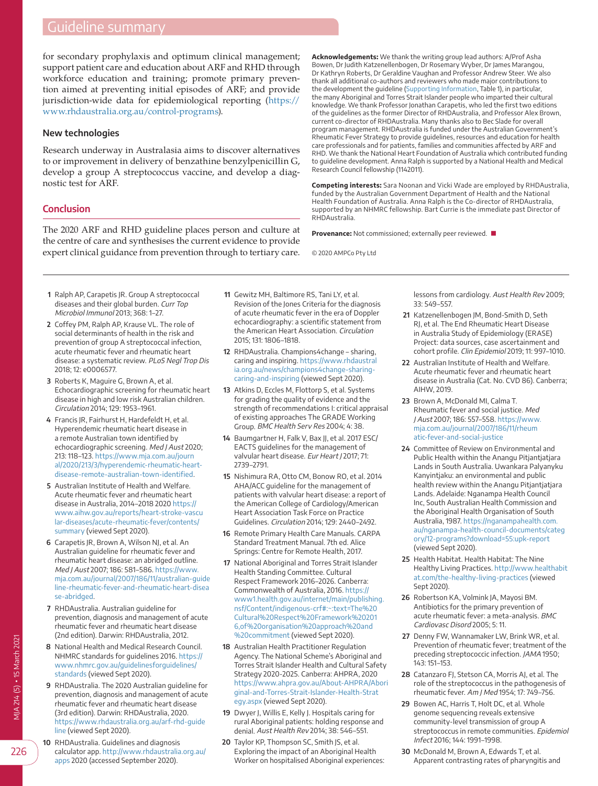# Guideline summary

for secondary prophylaxis and optimum clinical management; support patient care and education about ARF and RHD through workforce education and training; promote primary prevention aimed at preventing initial episodes of ARF; and provide jurisdiction-wide data for epidemiological reporting [\(https://](https://www.rhdaustralia.org.au/control-programs) [www.rhdaustralia.org.au/control-programs](https://www.rhdaustralia.org.au/control-programs)).

#### **New technologies**

Research underway in Australasia aims to discover alternatives to or improvement in delivery of benzathine benzylpenicillin G, develop a group A streptococcus vaccine, and develop a diagnostic test for ARF.

## **Conclusion**

The 2020 ARF and RHD guideline places person and culture at the centre of care and synthesises the current evidence to provide expert clinical guidance from prevention through to tertiary care.

**Acknowledgements:** We thank the writing group lead authors: A/Prof Asha Bowen, Dr Judith Katzenellenbogen, Dr Rosemary Wyber, Dr James Marangou, Dr Kathryn Roberts, Dr Geraldine Vaughan and Professor Andrew Steer. We also thank all additional co-authors and reviewers who made major contributions to the development the guideline ([Supporting Information](#page-7-0), Table 1), in particular, the many Aboriginal and Torres Strait Islander people who imparted their cultural knowledge. We thank Professor Jonathan Carapetis, who led the first two editions of the guidelines as the former Director of RHDAustralia, and Professor Alex Brown, current co-director of RHDAustralia. Many thanks also to Bec Slade for overall program management. RHDAustralia is funded under the Australian Government's Rheumatic Fever Strategy to provide guidelines, resources and education for health care professionals and for patients, families and communities affected by ARF and RHD. We thank the National Heart Foundation of Australia which contributed funding to guideline development. Anna Ralph is supported by a National Health and Medical Research Council fellowship (1142011).

**Competing interests:** Sara Noonan and Vicki Wade are employed by RHDAustralia, funded by the Australian Government Department of Health and the National Health Foundation of Australia. Anna Ralph is the Co-director of RHDAustralia, supported by an NHMRC fellowship. Bart Currie is the immediate past Director of RHDAustralia.

**Provenance:** Not commissioned; externally peer reviewed. ■

© 2020 AMPCo Pty Ltd

- <span id="page-6-0"></span>**1** Ralph AP, Carapetis JR. Group A streptococcal diseases and their global burden. Curr Top Microbiol Immunol 2013; 368: 1–27.
- <span id="page-6-1"></span>**2** Coffey PM, Ralph AP, Krause VL. The role of social determinants of health in the risk and prevention of group A streptococcal infection, acute rheumatic fever and rheumatic heart disease: a systematic review. PLoS Negl Trop Dis 2018; 12: e0006577.
- <span id="page-6-2"></span>**3** Roberts K, Maguire G, Brown A, et al. Echocardiographic screening for rheumatic heart disease in high and low risk Australian children. Circulation 2014; 129: 1953–1961.
- <span id="page-6-3"></span>**4** Francis JR, Fairhurst H, Hardefeldt H, et al. Hyperendemic rheumatic heart disease in a remote Australian town identified by echocardiographic screening. Med J Aust 2020; 213: 118–123. [https://www.mja.com.au/journ](https://www.mja.com.au/journal/2020/213/3/hyperendemic-rheumatic-heart-disease-remote-australian-town-identified) [al/2020/213/3/hyperendemic-rheumatic-heart](https://www.mja.com.au/journal/2020/213/3/hyperendemic-rheumatic-heart-disease-remote-australian-town-identified)[disease-remote-australian-town-identified](https://www.mja.com.au/journal/2020/213/3/hyperendemic-rheumatic-heart-disease-remote-australian-town-identified).
- <span id="page-6-4"></span>**5** Australian Institute of Health and Welfare. Acute rheumatic fever and rheumatic heart disease in Australia, 2014–2018 2020 [https://](https://www.aihw.gov.au/reports/heart-stroke-vascular-diseases/acute-rheumatic-fever/contents/summary) [www.aihw.gov.au/reports/heart-stroke-vascu](https://www.aihw.gov.au/reports/heart-stroke-vascular-diseases/acute-rheumatic-fever/contents/summary) [lar-diseases/acute-rheumatic-fever/contents/](https://www.aihw.gov.au/reports/heart-stroke-vascular-diseases/acute-rheumatic-fever/contents/summary) [summary](https://www.aihw.gov.au/reports/heart-stroke-vascular-diseases/acute-rheumatic-fever/contents/summary) (viewed Sept 2020).
- <span id="page-6-5"></span>**6** Carapetis JR, Brown A, Wilson NJ, et al. An Australian guideline for rheumatic fever and rheumatic heart disease: an abridged outline. Med J Aust 2007; 186: 581–586. [https://www.](https://www.mja.com.au/journal/2007/186/11/australian-guideline-rheumatic-fever-and-rheumatic-heart-disease-abridged) [mja.com.au/journal/2007/186/11/australian-guide](https://www.mja.com.au/journal/2007/186/11/australian-guideline-rheumatic-fever-and-rheumatic-heart-disease-abridged) [line-rheumatic-fever-and-rheumatic-heart-disea](https://www.mja.com.au/journal/2007/186/11/australian-guideline-rheumatic-fever-and-rheumatic-heart-disease-abridged) [se-abridged.](https://www.mja.com.au/journal/2007/186/11/australian-guideline-rheumatic-fever-and-rheumatic-heart-disease-abridged)
- <span id="page-6-6"></span>**7** RHDAustralia. Australian guideline for prevention, diagnosis and management of acute rheumatic fever and rheumatic heart disease (2nd edition). Darwin: RHDAustralia, 2012.
- <span id="page-6-7"></span>**8** National Health and Medical Research Council. NHMRC standards for guidelines 2016. [https://](https://www.nhmrc.gov.au/guidelinesforguidelines/standards) [www.nhmrc.gov.au/guidelinesforguidelines/](https://www.nhmrc.gov.au/guidelinesforguidelines/standards) [standards](https://www.nhmrc.gov.au/guidelinesforguidelines/standards) (viewed Sept 2020).
- <span id="page-6-8"></span>**9** RHDAustralia. The 2020 Australian guideline for prevention, diagnosis and management of acute rheumatic fever and rheumatic heart disease (3rd edition). Darwin: RHDAustralia, 2020. [https://www.rhdaustralia.org.au/arf-rhd-guide](https://www.rhdaustralia.org.au/arf-rhd-guideline) [line](https://www.rhdaustralia.org.au/arf-rhd-guideline) (viewed Sept 2020).
- <span id="page-6-9"></span>**10** RHDAustralia. Guidelines and diagnosis calculator app. [http://www.rhdaustralia.org.au/](http://www.rhdaustralia.org.au/apps) [apps](http://www.rhdaustralia.org.au/apps) 2020 (accessed September 2020).
- <span id="page-6-10"></span>**11** Gewitz MH, Baltimore RS, Tani LY, et al. Revision of the Jones Criteria for the diagnosis of acute rheumatic fever in the era of Doppler echocardiography: a scientific statement from the American Heart Association. Circulation 2015; 131: 1806–1818.
- <span id="page-6-11"></span>**12** RHDAustralia. Champions4change – sharing, caring and inspiring. [https://www.rhdaustral](https://www.rhdaustralia.org.au/news/champions4change-sharing-caring-and-inspiring) [ia.org.au/news/champions4change-sharing](https://www.rhdaustralia.org.au/news/champions4change-sharing-caring-and-inspiring)[caring-and-inspiring](https://www.rhdaustralia.org.au/news/champions4change-sharing-caring-and-inspiring) (viewed Sept 2020).
- <span id="page-6-12"></span>**13** Atkins D, Eccles M, Flottorp S, et al. Systems for grading the quality of evidence and the strength of recommendations I: critical appraisal of existing approaches The GRADE Working Group. BMC Health Serv Res 2004; 4: 38.
- <span id="page-6-13"></span>**14** Baumgartner H, Falk V, Bax JJ, et al. 2017 ESC/ EACTS guidelines for the management of valvular heart disease. Eur Heart / 2017; 71: 2739–2791.
- <span id="page-6-14"></span>**15** Nishimura RA, Otto CM, Bonow RO, et al. 2014 AHA/ACC guideline for the management of patients with valvular heart disease: a report of the American College of Cardiology/American Heart Association Task Force on Practice Guidelines. Circulation 2014; 129: 2440–2492.
- <span id="page-6-15"></span>**16** Remote Primary Health Care Manuals. CARPA Standard Treatment Manual. 7th ed. Alice Springs: Centre for Remote Health, 2017.
- <span id="page-6-16"></span>**17** National Aboriginal and Torres Strait Islander Health Standing Committee. Cultural Respect Framework 2016–2026. Canberra: Commonwealth of Australia, 2016. [https://](https://www1.health.gov.au/internet/main/publishing.nsf/Content/indigenous-crf#:~:text=The Cultural Respect Framework 2016,of organisation approach and commitment) [www1.health.gov.au/internet/main/publishing.](https://www1.health.gov.au/internet/main/publishing.nsf/Content/indigenous-crf#:~:text=The Cultural Respect Framework 2016,of organisation approach and commitment) [nsf/Content/indigenous-crf#:~:text=The%20](https://www1.health.gov.au/internet/main/publishing.nsf/Content/indigenous-crf#:~:text=The Cultural Respect Framework 2016,of organisation approach and commitment) [Cultural%20Respect%20Framework%20201](https://www1.health.gov.au/internet/main/publishing.nsf/Content/indigenous-crf#:~:text=The Cultural Respect Framework 2016,of organisation approach and commitment) [6,of%20organisation%20approach%20and](https://www1.health.gov.au/internet/main/publishing.nsf/Content/indigenous-crf#:~:text=The Cultural Respect Framework 2016,of organisation approach and commitment) [%20commitment](https://www1.health.gov.au/internet/main/publishing.nsf/Content/indigenous-crf#:~:text=The Cultural Respect Framework 2016,of organisation approach and commitment) (viewed Sept 2020).
- <span id="page-6-17"></span>**18** Australian Health Practitioner Regulation Agency. The National Scheme's Aboriginal and Torres Strait Islander Health and Cultural Safety Strategy 2020-2025. Canberra: AHPRA, 2020 [https://www.ahpra.gov.au/About-AHPRA/Abori](https://www.ahpra.gov.au/About-AHPRA/Aboriginal-and-Torres-Strait-Islander-Health-Strategy.aspx) [ginal-and-Torres-Strait-Islander-Health-Strat](https://www.ahpra.gov.au/About-AHPRA/Aboriginal-and-Torres-Strait-Islander-Health-Strategy.aspx) [egy.aspx](https://www.ahpra.gov.au/About-AHPRA/Aboriginal-and-Torres-Strait-Islander-Health-Strategy.aspx) (viewed Sept 2020).
- <span id="page-6-18"></span>**19** Dwyer J, Willis E, Kelly J. Hospitals caring for rural Aboriginal patients: holding response and denial. Aust Health Rev 2014; 38: 546–551.
- **20** Taylor KP, Thompson SC, Smith JS, et al. Exploring the impact of an Aboriginal Health Worker on hospitalised Aboriginal experiences:

lessons from cardiology. Aust Health Rev 2009; 33: 549–557.

- <span id="page-6-19"></span>**21** Katzenellenbogen JM, Bond-Smith D, Seth RJ, et al. The End Rheumatic Heart Disease in Australia Study of Epidemiology (ERASE) Project: data sources, case ascertainment and cohort profile. Clin Epidemiol 2019; 11: 997–1010.
- <span id="page-6-20"></span>**22** Australian Institute of Health and Welfare. Acute rheumatic fever and rheumatic heart disease in Australia (Cat. No. CVD 86). Canberra; AIHW, 2019.
- **23** Brown A, McDonald MI, Calma T. Rheumatic fever and social justice. Med J Aust 2007; 186: 557–558. [https://www.](https://www.mja.com.au/journal/2007/186/11/rheumatic-fever-and-social-justice) [mja.com.au/journal/2007/186/11/rheum](https://www.mja.com.au/journal/2007/186/11/rheumatic-fever-and-social-justice) [atic-fever-and-social-justice](https://www.mja.com.au/journal/2007/186/11/rheumatic-fever-and-social-justice)
- <span id="page-6-21"></span>**24** Committee of Review on Environmental and Public Health within the Anangu Pitjantjatjara Lands in South Australia. Uwankara Palyanyku Kanyintjaku: an environmental and public health review within the Anangu Pitjantjatjara Lands. Adelaide: Nganampa Health Council Inc, South Australian Health Commission and the Aboriginal Health Organisation of South Australia, 1987. [https://nganampahealth.com.](https://nganampahealth.com.au/nganampa-health-council-documents/category/12-programs?download=55:upk-report) [au/nganampa-health-council-documents/categ](https://nganampahealth.com.au/nganampa-health-council-documents/category/12-programs?download=55:upk-report) [ory/12-programs?download=55:upk-report](https://nganampahealth.com.au/nganampa-health-council-documents/category/12-programs?download=55:upk-report) (viewed Sept 2020).
- **25** Health Habitat. Health Habitat: The Nine Healthy Living Practices. [http://www.healthabit](http://www.healthabitat.com/the-healthy-living-practices) [at.com/the-healthy-living-practices](http://www.healthabitat.com/the-healthy-living-practices) (viewed Sept 2020).
- <span id="page-6-22"></span>**26** Robertson KA, Volmink JA, Mayosi BM. Antibiotics for the primary prevention of acute rheumatic fever: a meta-analysis. BMC Cardiovasc Disord 2005; 5: 11.
- **27** Denny FW, Wannamaker LW, Brink WR, et al. Prevention of rheumatic fever; treatment of the preceding streptococcic infection. JAMA 1950; 143: 151–153.
- **28** Catanzaro FJ, Stetson CA, Morris AJ, et al. The role of the streptococcus in the pathogenesis of rheumatic fever. Am J Med 1954; 17: 749–756.
- <span id="page-6-23"></span>**29** Bowen AC, Harris T, Holt DC, et al. Whole genome sequencing reveals extensive community-level transmission of group A streptococcus in remote communities. Epidemiol Infect 2016; 144: 1991–1998.
- <span id="page-6-24"></span>**30** McDonald M, Brown A, Edwards T, et al. Apparent contrasting rates of pharyngitis and

MJA 214 (5) ▪ 15 March 2021

VJA 214 (5) • 15 March 2021